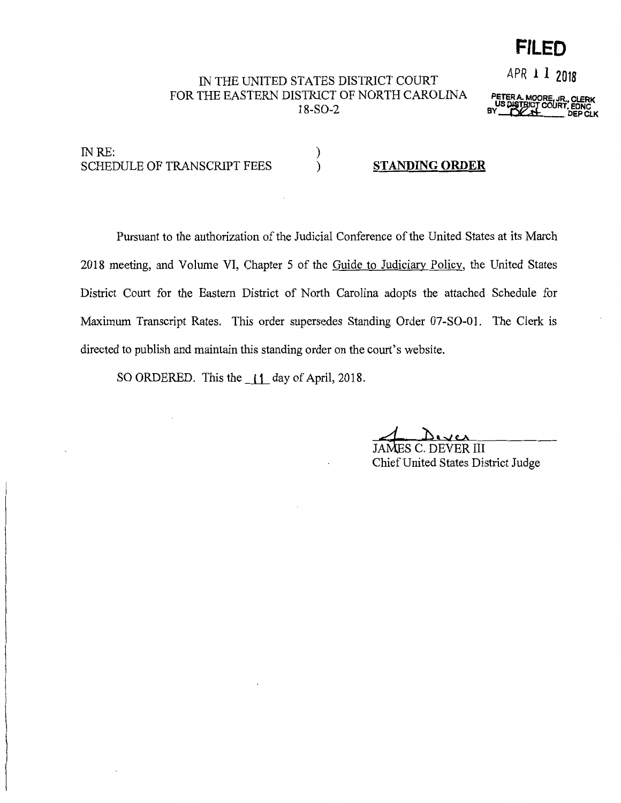## **FILED**

APR **l 1 <sup>2018</sup>**

## IN THE UNITED STATES DISTRICT COURT FOR THE EASTERN DISTRICT OF NORTH CAROLINA 18-S0-2

)

**PETER A. MOORE, JR., CLERK BY** BILGIC COURT, EDNC<br>BY DEP CLK

INRE: SCHEDULE OF TRANSCRIPT FEES

) **STANDING ORDER** 

Pursuant to the authorization of the Judicial Conference of the United States at its March 2018 meeting, and Volume VI, Chapter 5 of the Guide to Judiciary Policy, the United States District Court for the Eastern District of North Carolina adopts the attached Schedule for Maximum Transcript Rates. This order supersedes Standing Order 07-SO-Ol. The Clerk is directed to publish and maintain this standing order on the court's website.

SO ORDERED. This the **\_ll\_** day of April, 2018.

C. DEVER III Chief United States District Judge